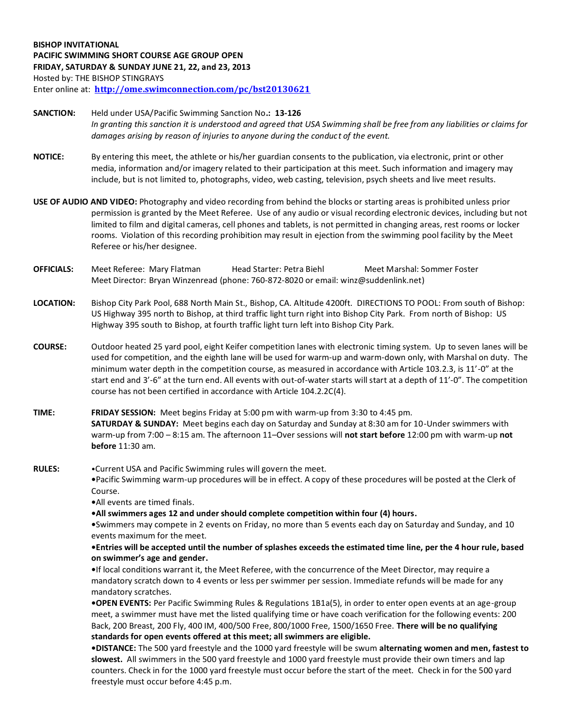**BISHOP INVITATIONAL PACIFIC SWIMMING SHORT COURSE AGE GROUP OPEN FRIDAY, SATURDAY & SUNDAY JUNE 21, 22, and 23, 2013** Hosted by: THE BISHOP STINGRAYS Enter online at: **http://ome.swimconnection.com/pc/bst20130621**

- **SANCTION:** Held under USA/Pacific Swimming Sanction No**.: 13-126** *In granting this sanction it is understood and agreed that USA Swimming shall be free from any liabilities or claims for damages arising by reason of injuries to anyone during the conduct of the event.*
- **NOTICE:** By entering this meet, the athlete or his/her guardian consents to the publication, via electronic, print or other media, information and/or imagery related to their participation at this meet. Such information and imagery may include, but is not limited to, photographs, video, web casting, television, psych sheets and live meet results.
- **USE OF AUDIO AND VIDEO:** Photography and video recording from behind the blocks or starting areas is prohibited unless prior permission is granted by the Meet Referee. Use of any audio or visual recording electronic devices, including but not limited to film and digital cameras, cell phones and tablets, is not permitted in changing areas, rest rooms or locker rooms. Violation of this recording prohibition may result in ejection from the swimming pool facility by the Meet Referee or his/her designee.
- **OFFICIALS:** Meet Referee: Mary Flatman Head Starter: Petra Biehl Meet Marshal: Sommer Foster Meet Director: Bryan Winzenread (phone: 760-872-8020 or email: winz@suddenlink.net)
- **LOCATION:** Bishop City Park Pool, 688 North Main St., Bishop, CA. Altitude 4200ft. DIRECTIONS TO POOL: From south of Bishop: US Highway 395 north to Bishop, at third traffic light turn right into Bishop City Park. From north of Bishop: US Highway 395 south to Bishop, at fourth traffic light turn left into Bishop City Park.
- **COURSE:** Outdoor heated 25 yard pool, eight Keifer competition lanes with electronic timing system. Up to seven lanes will be used for competition, and the eighth lane will be used for warm-up and warm-down only, with Marshal on duty. The minimum water depth in the competition course, as measured in accordance with Article 103.2.3, is 11'-0" at the start end and 3'-6" at the turn end. All events with out-of-water starts will start at a depth of 11'-0". The competition course has not been certified in accordance with Article 104.2.2C(4).
- **TIME: FRIDAY SESSION:** Meet begins Friday at 5:00 pm with warm-up from 3:30 to 4:45 pm. **SATURDAY & SUNDAY:** Meet begins each day on Saturday and Sunday at 8:30 am for 10-Under swimmers with warm-up from 7:00 – 8:15 am. The afternoon 11–Over sessions will **not start before** 12:00 pm with warm-up **not before** 11:30 am.
- **RULES:** •Current USA and Pacific Swimming rules will govern the meet.

**•**Pacific Swimming warm-up procedures will be in effect. A copy of these procedures will be posted at the Clerk of Course.

**•**All events are timed finals.

**•All swimmers ages 12 and under should complete competition within four (4) hours.**

**•**Swimmers may compete in 2 events on Friday, no more than 5 events each day on Saturday and Sunday, and 10 events maximum for the meet.

## **•Entries will be accepted until the number of splashes exceeds the estimated time line, per the 4 hour rule, based on swimmer's age and gender.**

**•**If local conditions warrant it, the Meet Referee, with the concurrence of the Meet Director, may require a mandatory scratch down to 4 events or less per swimmer per session. Immediate refunds will be made for any mandatory scratches.

**•OPEN EVENTS:** Per Pacific Swimming Rules & Regulations 1B1a(5), in order to enter open events at an age-group meet, a swimmer must have met the listed qualifying time or have coach verification for the following events: 200 Back, 200 Breast, 200 Fly, 400 IM, 400/500 Free, 800/1000 Free, 1500/1650 Free. **There will be no qualifying standards for open events offered at this meet; all swimmers are eligible.**

**•DISTANCE:** The 500 yard freestyle and the 1000 yard freestyle will be swum **alternating women and men, fastest to slowest.** All swimmers in the 500 yard freestyle and 1000 yard freestyle must provide their own timers and lap counters. Check in for the 1000 yard freestyle must occur before the start of the meet. Check in for the 500 yard freestyle must occur before 4:45 p.m.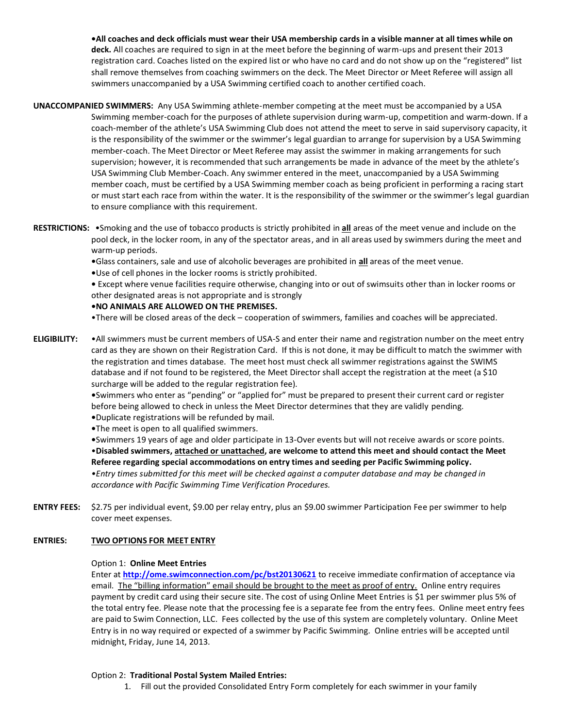**•All coaches and deck officials must wear their USA membership cards in a visible manner at all times while on deck.** All coaches are required to sign in at the meet before the beginning of warm-ups and present their 2013 registration card. Coaches listed on the expired list or who have no card and do not show up on the "registered" list shall remove themselves from coaching swimmers on the deck. The Meet Director or Meet Referee will assign all swimmers unaccompanied by a USA Swimming certified coach to another certified coach.

**UNACCOMPANIED SWIMMERS:** Any USA Swimming athlete-member competing at the meet must be accompanied by a USA Swimming member-coach for the purposes of athlete supervision during warm-up, competition and warm-down. If a coach-member of the athlete's USA Swimming Club does not attend the meet to serve in said supervisory capacity, it is the responsibility of the swimmer or the swimmer's legal guardian to arrange for supervision by a USA Swimming member-coach. The Meet Director or Meet Referee may assist the swimmer in making arrangements for such supervision; however, it is recommended that such arrangements be made in advance of the meet by the athlete's USA Swimming Club Member-Coach. Any swimmer entered in the meet, unaccompanied by a USA Swimming member coach, must be certified by a USA Swimming member coach as being proficient in performing a racing start or must start each race from within the water. It is the responsibility of the swimmer or the swimmer's legal guardian to ensure compliance with this requirement.

**RESTRICTIONS:** •Smoking and the use of tobacco products is strictly prohibited in **all** areas of the meet venue and include on the pool deck, in the locker room, in any of the spectator areas, and in all areas used by swimmers during the meet and warm-up periods.

**•**Glass containers, sale and use of alcoholic beverages are prohibited in **all** areas of the meet venue.

**•**Use of cell phones in the locker rooms is strictly prohibited.

**•** Except where venue facilities require otherwise, changing into or out of swimsuits other than in locker rooms or other designated areas is not appropriate and is strongly

## **•NO ANIMALS ARE ALLOWED ON THE PREMISES.**

•There will be closed areas of the deck – cooperation of swimmers, families and coaches will be appreciated.

**ELIGIBILITY:** •All swimmers must be current members of USA-S and enter their name and registration number on the meet entry card as they are shown on their Registration Card. If this is not done, it may be difficult to match the swimmer with the registration and times database. The meet host must check all swimmer registrations against the SWIMS database and if not found to be registered, the Meet Director shall accept the registration at the meet (a \$10 surcharge will be added to the regular registration fee).

> **•**Swimmers who enter as "pending" or "applied for" must be prepared to present their current card or register before being allowed to check in unless the Meet Director determines that they are validly pending.

- **•**Duplicate registrations will be refunded by mail.
- **•**The meet is open to all qualified swimmers.

**•**Swimmers 19 years of age and older participate in 13-Over events but will not receive awards or score points. •**Disabled swimmers, attached or unattached, are welcome to attend this meet and should contact the Meet Referee regarding special accommodations on entry times and seeding per Pacific Swimming policy.** *•Entry times submitted for this meet will be checked against a computer database and may be changed in accordance with Pacific Swimming Time Verification Procedures.*

**ENTRY FEES:** \$2.75 per individual event, \$9.00 per relay entry, plus an \$9.00 swimmer Participation Fee per swimmer to help cover meet expenses.

# **ENTRIES: TWO OPTIONS FOR MEET ENTRY**

#### Option 1: **Online Meet Entries**

Enter at **<http://ome.swimconnection.com/pc/bst20130621>** to receive immediate confirmation of acceptance via email. The "billing information" email should be brought to the meet as proof of entry. Online entry requires payment by credit card using their secure site. The cost of using Online Meet Entries is \$1 per swimmer plus 5% of the total entry fee. Please note that the processing fee is a separate fee from the entry fees. Online meet entry fees are paid to Swim Connection, LLC. Fees collected by the use of this system are completely voluntary. Online Meet Entry is in no way required or expected of a swimmer by Pacific Swimming. Online entries will be accepted until midnight, Friday, June 14, 2013.

# Option 2: **Traditional Postal System Mailed Entries:**

1. Fill out the provided Consolidated Entry Form completely for each swimmer in your family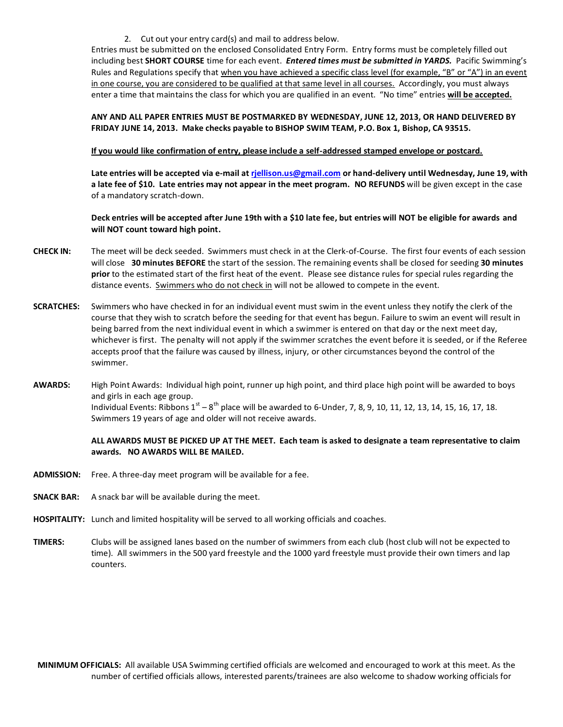2. Cut out your entry card(s) and mail to address below.

Entries must be submitted on the enclosed Consolidated Entry Form. Entry forms must be completely filled out including best **SHORT COURSE** time for each event. *Entered times must be submitted in YARDS.* Pacific Swimming's Rules and Regulations specify that when you have achieved a specific class level (for example, "B" or "A") in an event in one course, you are considered to be qualified at that same level in all courses. Accordingly, you must always enter a time that maintains the class for which you are qualified in an event. "No time" entries **will be accepted.**

# **ANY AND ALL PAPER ENTRIES MUST BE POSTMARKED BY WEDNESDAY, JUNE 12, 2013, OR HAND DELIVERED BY FRIDAY JUNE 14, 2013. Make checks payable to BISHOP SWIM TEAM, P.O. Box 1, Bishop, CA 93515.**

## **If you would like confirmation of entry, please include a self-addressed stamped envelope or postcard.**

**Late entries will be accepted via e-mail a[t rjellison.us@gmail.com](mailto:rjellison.us@gmail.com) or hand-delivery until Wednesday, June 19, with a late fee of \$10. Late entries may not appear in the meet program. NO REFUNDS** will be given except in the case of a mandatory scratch-down.

## **Deck entries will be accepted after June 19th with a \$10 late fee, but entries will NOT be eligible for awards and will NOT count toward high point.**

- **CHECK IN:** The meet will be deck seeded. Swimmers must check in at the Clerk-of-Course. The first four events of each session will close **30 minutes BEFORE** the start of the session. The remaining events shall be closed for seeding **30 minutes prior** to the estimated start of the first heat of the event.Please see distance rules for special rules regarding the distance events. Swimmers who do not check in will not be allowed to compete in the event.
- **SCRATCHES:** Swimmers who have checked in for an individual event must swim in the event unless they notify the clerk of the course that they wish to scratch before the seeding for that event has begun. Failure to swim an event will result in being barred from the next individual event in which a swimmer is entered on that day or the next meet day, whichever is first. The penalty will not apply if the swimmer scratches the event before it is seeded, or if the Referee accepts proof that the failure was caused by illness, injury, or other circumstances beyond the control of the swimmer.
- **AWARDS:** High Point Awards: Individual high point, runner up high point, and third place high point will be awarded to boys and girls in each age group. Individual Events: Ribbons  $1^{st} - 8^{th}$  place will be awarded to 6-Under, 7, 8, 9, 10, 11, 12, 13, 14, 15, 16, 17, 18. Swimmers 19 years of age and older will not receive awards.

## **ALL AWARDS MUST BE PICKED UP AT THE MEET. Each team is asked to designate a team representative to claim awards. NO AWARDS WILL BE MAILED.**

- **ADMISSION:** Free. A three-day meet program will be available for a fee.
- **SNACK BAR:** A snack bar will be available during the meet.
- **HOSPITALITY:** Lunch and limited hospitality will be served to all working officials and coaches.
- **TIMERS:** Clubs will be assigned lanes based on the number of swimmers from each club (host club will not be expected to time). All swimmers in the 500 yard freestyle and the 1000 yard freestyle must provide their own timers and lap counters.

**MINIMUM OFFICIALS:** All available USA Swimming certified officials are welcomed and encouraged to work at this meet. As the number of certified officials allows, interested parents/trainees are also welcome to shadow working officials for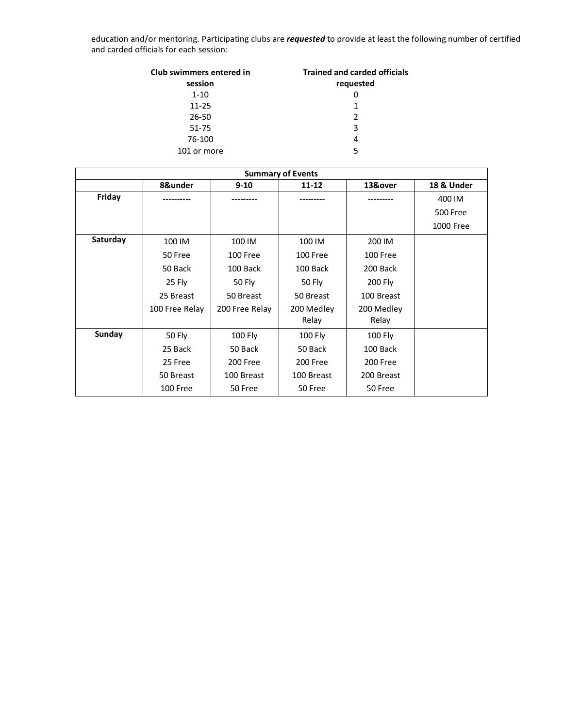education and/or mentoring. Participating clubs are *requested* to provide at least the following number of certified and carded officials for each session:

| Club swimmers entered in<br>session | <b>Trained and carded officials</b><br>requested |
|-------------------------------------|--------------------------------------------------|
| $1 - 10$                            |                                                  |
| $11 - 25$                           |                                                  |
| $26 - 50$                           | 2                                                |
| $51 - 75$                           | 3                                                |
| 76-100                              | 4                                                |
| 101 or more                         |                                                  |

|          | <b>Summary of Events</b> |                |            |            |                 |  |  |  |  |  |  |  |
|----------|--------------------------|----------------|------------|------------|-----------------|--|--|--|--|--|--|--|
|          | 8&under                  | $9 - 10$       | $11 - 12$  | 13&over    | 18 & Under      |  |  |  |  |  |  |  |
| Friday   |                          |                |            |            | 400 IM          |  |  |  |  |  |  |  |
|          |                          |                |            |            | <b>500 Free</b> |  |  |  |  |  |  |  |
|          |                          |                |            |            | 1000 Free       |  |  |  |  |  |  |  |
| Saturday | 100 IM                   | 100 IM         | 100 IM     | 200 IM     |                 |  |  |  |  |  |  |  |
|          | 50 Free                  | 100 Free       | 100 Free   | 100 Free   |                 |  |  |  |  |  |  |  |
|          | 50 Back                  | 100 Back       | 100 Back   | 200 Back   |                 |  |  |  |  |  |  |  |
|          | 25 Fly                   | 50 Fly         | 50 Fly     | 200 Fly    |                 |  |  |  |  |  |  |  |
|          | 25 Breast                | 50 Breast      | 50 Breast  | 100 Breast |                 |  |  |  |  |  |  |  |
|          | 100 Free Relay           | 200 Free Relay | 200 Medley | 200 Medley |                 |  |  |  |  |  |  |  |
|          |                          |                | Relay      | Relay      |                 |  |  |  |  |  |  |  |
| Sunday   | 50 Fly                   | 100 Fly        |            | 100 Fly    |                 |  |  |  |  |  |  |  |
|          | 25 Back                  | 50 Back        | 50 Back    | 100 Back   |                 |  |  |  |  |  |  |  |
|          | 25 Free                  | 200 Free       | 200 Free   | 200 Free   |                 |  |  |  |  |  |  |  |
|          | 50 Breast                | 100 Breast     | 100 Breast | 200 Breast |                 |  |  |  |  |  |  |  |
|          | 100 Free                 | 50 Free        | 50 Free    | 50 Free    |                 |  |  |  |  |  |  |  |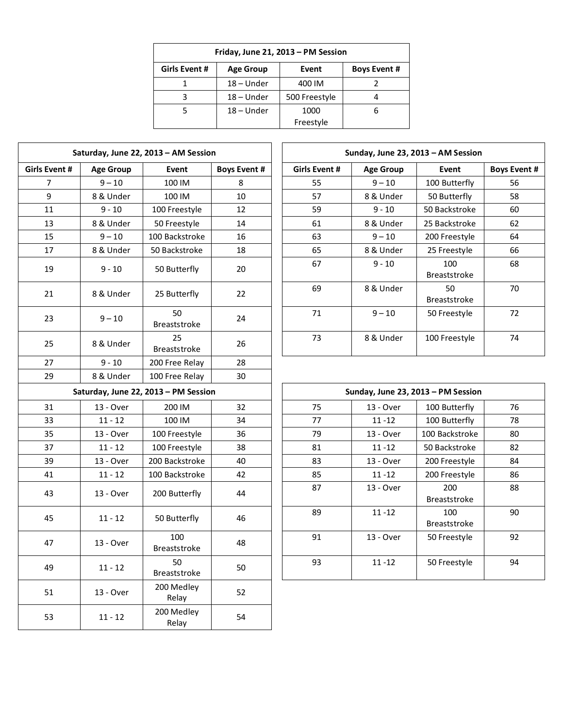| Friday, June 21, 2013 - PM Session                                |                               |           |  |  |  |  |  |  |
|-------------------------------------------------------------------|-------------------------------|-----------|--|--|--|--|--|--|
| Girls Event #<br><b>Boys Event #</b><br><b>Age Group</b><br>Event |                               |           |  |  |  |  |  |  |
|                                                                   | $18 -$ Under                  | 400 IM    |  |  |  |  |  |  |
| ੨                                                                 | $18 -$ Under<br>500 Freestyle |           |  |  |  |  |  |  |
|                                                                   | $18 -$ Under                  | 1000      |  |  |  |  |  |  |
|                                                                   |                               | Freestyle |  |  |  |  |  |  |

|                      |                  | Saturday, June 22, 2013 - AM Session |                     |                      |                  | Sunday, June 23, 2013 - AM Session |  |
|----------------------|------------------|--------------------------------------|---------------------|----------------------|------------------|------------------------------------|--|
| <b>Girls Event #</b> | <b>Age Group</b> | Event                                | <b>Boys Event #</b> | <b>Girls Event #</b> | <b>Age Group</b> | Event                              |  |
| 7                    | $9 - 10$         | 100 IM                               | 8                   | 55                   | $9 - 10$         | 100 Butterfly                      |  |
| 9                    | 8 & Under        | 100 IM                               | 10                  | 57                   | 8 & Under        | 50 Butterfly                       |  |
| 11                   | $9 - 10$         | 100 Freestyle                        | 12                  | 59                   | $9 - 10$         | 50 Backstroke                      |  |
| 13                   | 8 & Under        | 50 Freestyle                         | 14                  | 61                   | 8 & Under        | 25 Backstroke                      |  |
| 15                   | $9 - 10$         | 100 Backstroke                       | 16                  | 63                   | $9 - 10$         | 200 Freestyle                      |  |
| 17                   | 8 & Under        | 50 Backstroke                        | 18                  | 65                   | 8 & Under        | 25 Freestyle                       |  |
| 19                   | $9 - 10$         | 50 Butterfly                         | 20                  | 67                   | $9 - 10$         | 100<br>Breaststroke                |  |
| 21                   | 8 & Under        | 25 Butterfly                         | 22                  | 69                   | 8 & Under        | 50<br>Breaststroke                 |  |
| 23                   | $9 - 10$         | 50<br>Breaststroke                   | 24                  | 71                   | $9 - 10$         | 50 Freestyle                       |  |
| 25                   | 8 & Under        | 25<br>Breaststroke                   | 26                  | 73                   | 8 & Under        | 100 Freestyle                      |  |
| 27                   | $9 - 10$         | 200 Free Relay                       | 28                  |                      |                  |                                    |  |
| 29                   | 8 & Under        | 100 Free Relay                       | 30                  |                      |                  |                                    |  |
|                      |                  | Saturday, June 22, 2013 - PM Session |                     |                      |                  | Sunday, June 23, 2013 - PM Session |  |
| 31                   | 13 - Over        | 200 IM                               | 32                  | 75                   | 13 - Over        | 100 Butterfly                      |  |
| 33                   | $11 - 12$        | 100 IM                               | 34                  | 77                   | $11 - 12$        | 100 Butterfly                      |  |
| 35                   | 13 - Over        | 100 Freestyle                        | 36                  | 79                   | 13 - Over        | 100 Backstroke                     |  |
| 37                   | $11 - 12$        | 100 Freestyle                        | 38                  | 81                   | $11 - 12$        | 50 Backstroke                      |  |
| 39                   | 13 - Over        | 200 Backstroke                       | 40                  | 83                   | 13 - Over        | 200 Freestyle                      |  |
| 41                   | $11 - 12$        | 100 Backstroke                       | 42                  | 85                   | $11 - 12$        | 200 Freestyle                      |  |
| 43                   | 13 - Over        | 200 Butterfly                        | 44                  | 87                   | 13 - Over        | 200<br>Breaststroke                |  |
| 45                   | $11 - 12$        | 50 Butterfly                         | 46                  | 89                   | $11 - 12$        | 100<br><b>Breaststroke</b>         |  |
| 47                   | 13 - Over        | 100<br>Breaststroke                  | 48                  | 91<br>13 - Over      |                  | 50 Freestyle                       |  |
| 49                   | $11 - 12$        | 50<br>Breaststroke                   | 50                  | 93                   | $11 - 12$        | 50 Freestyle                       |  |
| 51                   | 13 - Over        | 200 Medley<br>Relay                  | 52                  |                      |                  |                                    |  |
| 53                   | $11 - 12$        | 200 Medley<br>Relay                  | 54                  |                      |                  |                                    |  |

|               |                  | Saturday, June 22, 2013 - AM Session | Sunday, June 23, 2013 - AM Session |                      |                           |                            |
|---------------|------------------|--------------------------------------|------------------------------------|----------------------|---------------------------|----------------------------|
| Girls Event # | <b>Age Group</b> | Event                                | <b>Boys Event #</b>                | <b>Girls Event #</b> | <b>Age Group</b><br>Event |                            |
| 7             | $9 - 10$         | 100 IM                               | 8                                  | 55                   | $9 - 10$                  | 100 Butterfly              |
| 9             | 8 & Under        | 100 IM                               | 10                                 | 57                   | 8 & Under                 | 50 Butterfly               |
| 11            | $9 - 10$         | 100 Freestyle                        | 12                                 | 59                   | $9 - 10$                  | 50 Backstroke              |
| 13            | 8 & Under        | 50 Freestyle                         | 14                                 | 61                   | 8 & Under                 | 25 Backstroke              |
| 15            | $9 - 10$         | 100 Backstroke                       | 16                                 | 63                   | $9 - 10$                  | 200 Freestyle              |
| 17            | 8 & Under        | 50 Backstroke                        | 18                                 | 65                   | 8 & Under                 | 25 Freestyle               |
| 19            | $9 - 10$         | 50 Butterfly                         | 20                                 | 67                   | $9 - 10$                  | 100<br><b>Breaststroke</b> |
| 21            | 8 & Under        | 25 Butterfly                         | 22                                 | 69                   | 8 & Under                 | 50<br><b>Breaststroke</b>  |
| 23            | $9 - 10$         | 50<br><b>Breaststroke</b>            | 24                                 | 71                   | $9 - 10$                  | 50 Freestyle               |
| 25            | 8 & Under        | 25<br><b>Breaststroke</b>            | 26                                 | 73                   | 8 & Under                 | 100 Freestyle              |

|    |           | Saturday, June 22, 2013 - PM Session |    | Sunday, June 23, 2013 - PM Session |           |                            |    |
|----|-----------|--------------------------------------|----|------------------------------------|-----------|----------------------------|----|
| 31 | 13 - Over | 200 IM                               | 32 | 75                                 | 13 - Over | 100 Butterfly              | 76 |
| 33 | $11 - 12$ | 100 IM                               | 34 | 77                                 | $11 - 12$ | 100 Butterfly              | 78 |
| 35 | 13 - Over | 100 Freestyle                        | 36 | 79                                 | 13 - Over | 100 Backstroke             | 80 |
| 37 | $11 - 12$ | 100 Freestyle                        | 38 | 81                                 | $11 - 12$ | 50 Backstroke              | 82 |
| 39 | 13 - Over | 200 Backstroke                       | 40 | 83                                 | 13 - Over | 200 Freestyle              | 84 |
| 41 | $11 - 12$ | 100 Backstroke                       | 42 | 85                                 | $11 - 12$ | 200 Freestyle              | 86 |
| 43 | 13 - Over | 200 Butterfly                        | 44 | 87                                 | 13 - Over | 200<br><b>Breaststroke</b> | 88 |
| 45 | $11 - 12$ | 50 Butterfly                         | 46 | 89                                 | $11 - 12$ | 100<br><b>Breaststroke</b> | 90 |
| 47 | 13 - Over | 100<br><b>Breaststroke</b>           | 48 | 91                                 | 13 - Over | 50 Freestyle               | 92 |
| 49 | $11 - 12$ | 50<br><b>Breaststroke</b>            | 50 | 93                                 | $11 - 12$ | 50 Freestyle               | 94 |
|    |           |                                      |    |                                    |           |                            |    |